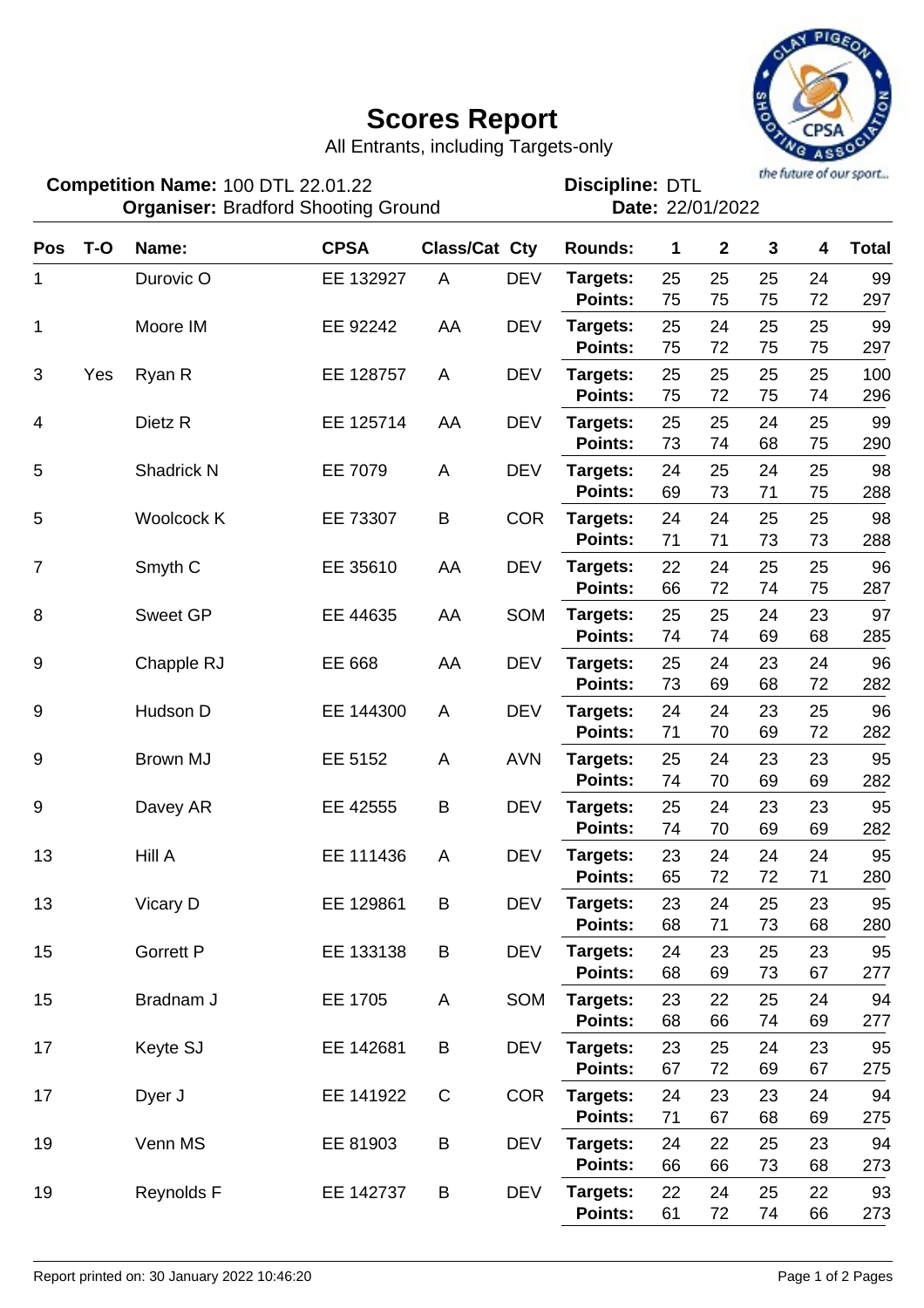## **Scores Report**



All Entrants, including Targets-only

100 DTL 22.01.22 **Discipline: DTL Competition Name:**

the future of our sport... **Discipline: DTL**<br>**Date: 22/01/2022** 

|                | <b>Organiser: Bradford Shooting Ground</b> |                    |             |                      |            | Date: 22/01/2022           |          |                         |              |          |              |
|----------------|--------------------------------------------|--------------------|-------------|----------------------|------------|----------------------------|----------|-------------------------|--------------|----------|--------------|
| <b>Pos</b>     | $T-O$                                      | Name:              | <b>CPSA</b> | <b>Class/Cat Cty</b> |            | <b>Rounds:</b>             | 1        | $\overline{\mathbf{2}}$ | $\mathbf{3}$ | 4        | <b>Total</b> |
| 1              |                                            | Durovic O          | EE 132927   | A                    | <b>DEV</b> | Targets:<br><b>Points:</b> | 25<br>75 | 25<br>75                | 25<br>75     | 24<br>72 | 99<br>297    |
| 1              |                                            | Moore IM           | EE 92242    | AA                   | <b>DEV</b> | Targets:<br><b>Points:</b> | 25<br>75 | 24<br>72                | 25<br>75     | 25<br>75 | 99<br>297    |
| 3              | Yes                                        | Ryan R             | EE 128757   | A                    | <b>DEV</b> | Targets:<br>Points:        | 25<br>75 | 25<br>72                | 25<br>75     | 25<br>74 | 100<br>296   |
| 4              |                                            | Dietz <sub>R</sub> | EE 125714   | AA                   | <b>DEV</b> | Targets:<br><b>Points:</b> | 25<br>73 | 25<br>74                | 24<br>68     | 25<br>75 | 99<br>290    |
| 5              |                                            | Shadrick N         | EE 7079     | A                    | <b>DEV</b> | Targets:<br><b>Points:</b> | 24<br>69 | 25<br>73                | 24<br>71     | 25<br>75 | 98<br>288    |
| 5              |                                            | Woolcock K         | EE 73307    | B                    | <b>COR</b> | Targets:<br><b>Points:</b> | 24<br>71 | 24<br>71                | 25<br>73     | 25<br>73 | 98<br>288    |
| $\overline{7}$ |                                            | Smyth <sub>C</sub> | EE 35610    | AA                   | <b>DEV</b> | Targets:<br><b>Points:</b> | 22<br>66 | 24<br>72                | 25<br>74     | 25<br>75 | 96<br>287    |
| 8              |                                            | <b>Sweet GP</b>    | EE 44635    | AA                   | SOM        | Targets:<br><b>Points:</b> | 25<br>74 | 25<br>74                | 24<br>69     | 23<br>68 | 97<br>285    |
| $9\,$          |                                            | Chapple RJ         | EE 668      | AA                   | <b>DEV</b> | Targets:<br>Points:        | 25<br>73 | 24<br>69                | 23<br>68     | 24<br>72 | 96<br>282    |
| 9              |                                            | Hudson D           | EE 144300   | A                    | <b>DEV</b> | Targets:<br>Points:        | 24<br>71 | 24<br>70                | 23<br>69     | 25<br>72 | 96<br>282    |
| $9\,$          |                                            | Brown MJ           | EE 5152     | A                    | <b>AVN</b> | Targets:<br><b>Points:</b> | 25<br>74 | 24<br>70                | 23<br>69     | 23<br>69 | 95<br>282    |
| 9              |                                            | Davey AR           | EE 42555    | B                    | <b>DEV</b> | Targets:<br><b>Points:</b> | 25<br>74 | 24<br>70                | 23<br>69     | 23<br>69 | 95<br>282    |
| 13             |                                            | Hill A             | EE 111436   | A                    | <b>DEV</b> | Targets:<br><b>Points:</b> | 23<br>65 | 24<br>72                | 24<br>72     | 24<br>71 | 95<br>280    |
| 13             |                                            | Vicary D           | EE 129861   | B                    | <b>DEV</b> | Targets:<br>Points:        | 23<br>68 | 24<br>71                | 25<br>73     | 23<br>68 | 95<br>280    |
| 15             |                                            | <b>Gorrett P</b>   | EE 133138   | B                    | <b>DEV</b> | Targets:<br>Points:        | 24<br>68 | 23<br>69                | 25<br>73     | 23<br>67 | 95<br>277    |
| 15             |                                            | Bradnam J          | EE 1705     | Α                    | SOM        | Targets:<br>Points:        | 23<br>68 | 22<br>66                | 25<br>74     | 24<br>69 | 94<br>277    |
| 17             |                                            | Keyte SJ           | EE 142681   | B                    | <b>DEV</b> | Targets:<br>Points:        | 23<br>67 | 25<br>72                | 24<br>69     | 23<br>67 | 95<br>275    |
| 17             |                                            | Dyer J             | EE 141922   | $\mathbf C$          | <b>COR</b> | Targets:<br>Points:        | 24<br>71 | 23<br>67                | 23<br>68     | 24<br>69 | 94<br>275    |
| 19             |                                            | Venn MS            | EE 81903    | B                    | <b>DEV</b> | Targets:<br>Points:        | 24<br>66 | 22<br>66                | 25<br>73     | 23<br>68 | 94<br>273    |
| 19             |                                            | Reynolds F         | EE 142737   | B                    | <b>DEV</b> | Targets:<br>Points:        | 22<br>61 | 24<br>72                | 25<br>74     | 22<br>66 | 93<br>273    |